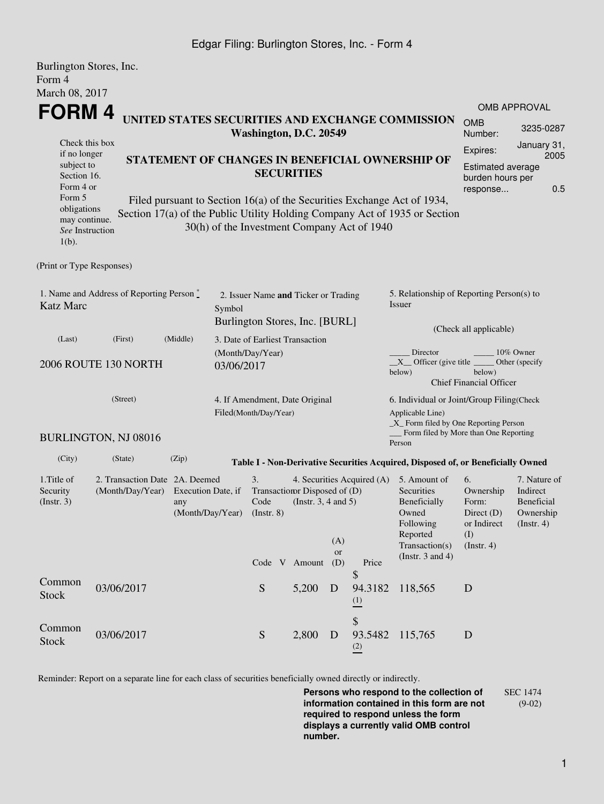## Edgar Filing: Burlington Stores, Inc. - Form 4

| Burlington Stores, Inc.<br>Form 4                                                      |                                                                      |                                                                                 |                                                                                  |                                                                                                                                      |       |                                                                                                                                                   |                                                                 |                                                                                                                                                       |                                                                               |                                                                         |  |  |
|----------------------------------------------------------------------------------------|----------------------------------------------------------------------|---------------------------------------------------------------------------------|----------------------------------------------------------------------------------|--------------------------------------------------------------------------------------------------------------------------------------|-------|---------------------------------------------------------------------------------------------------------------------------------------------------|-----------------------------------------------------------------|-------------------------------------------------------------------------------------------------------------------------------------------------------|-------------------------------------------------------------------------------|-------------------------------------------------------------------------|--|--|
| March 08, 2017                                                                         |                                                                      |                                                                                 |                                                                                  |                                                                                                                                      |       |                                                                                                                                                   |                                                                 |                                                                                                                                                       |                                                                               |                                                                         |  |  |
|                                                                                        |                                                                      |                                                                                 |                                                                                  |                                                                                                                                      |       |                                                                                                                                                   |                                                                 |                                                                                                                                                       |                                                                               | <b>OMB APPROVAL</b>                                                     |  |  |
| FORM 4<br>UNITED STATES SECURITIES AND EXCHANGE COMMISSION<br>Washington, D.C. 20549   |                                                                      |                                                                                 |                                                                                  |                                                                                                                                      |       |                                                                                                                                                   |                                                                 | <b>OMB</b><br>Number:                                                                                                                                 | 3235-0287                                                                     |                                                                         |  |  |
| Check this box<br>if no longer                                                         |                                                                      |                                                                                 |                                                                                  |                                                                                                                                      |       | Expires:                                                                                                                                          | January 31,<br>2005                                             |                                                                                                                                                       |                                                                               |                                                                         |  |  |
| subject to<br>Section 16.<br>Form 4 or                                                 | STATEMENT OF CHANGES IN BENEFICIAL OWNERSHIP OF<br><b>SECURITIES</b> |                                                                                 |                                                                                  |                                                                                                                                      |       |                                                                                                                                                   | <b>Estimated average</b><br>burden hours per<br>0.5<br>response |                                                                                                                                                       |                                                                               |                                                                         |  |  |
| Form 5<br>obligations<br>may continue.<br>See Instruction<br>$1(b)$ .                  |                                                                      |                                                                                 |                                                                                  | 30(h) of the Investment Company Act of 1940                                                                                          |       |                                                                                                                                                   |                                                                 | Filed pursuant to Section 16(a) of the Securities Exchange Act of 1934,<br>Section 17(a) of the Public Utility Holding Company Act of 1935 or Section |                                                                               |                                                                         |  |  |
| (Print or Type Responses)                                                              |                                                                      |                                                                                 |                                                                                  |                                                                                                                                      |       |                                                                                                                                                   |                                                                 |                                                                                                                                                       |                                                                               |                                                                         |  |  |
| 1. Name and Address of Reporting Person $\stackrel{*}{\mathbb{L}}$<br><b>Katz Marc</b> |                                                                      |                                                                                 | 2. Issuer Name and Ticker or Trading<br>Symbol<br>Burlington Stores, Inc. [BURL] |                                                                                                                                      |       |                                                                                                                                                   |                                                                 | 5. Relationship of Reporting Person(s) to<br>Issuer                                                                                                   |                                                                               |                                                                         |  |  |
| (Last)                                                                                 | (First)                                                              | (Middle)<br>3. Date of Earliest Transaction                                     |                                                                                  |                                                                                                                                      |       |                                                                                                                                                   | (Check all applicable)                                          |                                                                                                                                                       |                                                                               |                                                                         |  |  |
| 2006 ROUTE 130 NORTH                                                                   | (Month/Day/Year)<br>03/06/2017                                       |                                                                                 |                                                                                  |                                                                                                                                      |       | Director<br>10% Owner<br>$X$ Officer (give title $\overline{\phantom{a}}$<br>Other (specify<br>below)<br>below)<br><b>Chief Financial Officer</b> |                                                                 |                                                                                                                                                       |                                                                               |                                                                         |  |  |
| (Street)                                                                               |                                                                      |                                                                                 | 4. If Amendment, Date Original<br>Filed(Month/Day/Year)                          |                                                                                                                                      |       |                                                                                                                                                   |                                                                 | 6. Individual or Joint/Group Filing(Check<br>Applicable Line)<br>_X_ Form filed by One Reporting Person                                               |                                                                               |                                                                         |  |  |
|                                                                                        | BURLINGTON, NJ 08016                                                 |                                                                                 |                                                                                  |                                                                                                                                      |       |                                                                                                                                                   |                                                                 | Form filed by More than One Reporting<br>Person                                                                                                       |                                                                               |                                                                         |  |  |
| (City)                                                                                 | (State)                                                              | (Zip)                                                                           |                                                                                  |                                                                                                                                      |       |                                                                                                                                                   |                                                                 | Table I - Non-Derivative Securities Acquired, Disposed of, or Beneficially Owned                                                                      |                                                                               |                                                                         |  |  |
| 1. Title of<br>Security<br>(Insert. 3)                                                 | (Month/Day/Year)                                                     | 2. Transaction Date 2A. Deemed<br>Execution Date, if<br>any<br>(Month/Day/Year) |                                                                                  | 3.<br>4. Securities Acquired (A)<br>Transaction Disposed of (D)<br>(Instr. $3, 4$ and $5$ )<br>Code<br>$($ Instr. 8 $)$<br>(A)<br>or |       |                                                                                                                                                   |                                                                 | 5. Amount of<br>Securities<br>Beneficially<br>Owned<br>Following<br>Reported<br>Transaction(s)                                                        | 6.<br>Ownership<br>Form:<br>Direct $(D)$<br>or Indirect<br>(I)<br>(Insert. 4) | 7. Nature of<br>Indirect<br>Beneficial<br>Ownership<br>$($ Instr. 4 $)$ |  |  |
|                                                                                        |                                                                      |                                                                                 |                                                                                  | Code V Amount                                                                                                                        |       | (D)                                                                                                                                               | Price<br>\$                                                     | (Instr. $3$ and $4$ )                                                                                                                                 |                                                                               |                                                                         |  |  |
| Common<br><b>Stock</b>                                                                 | 03/06/2017                                                           |                                                                                 |                                                                                  | ${\mathbf S}$                                                                                                                        | 5,200 | D                                                                                                                                                 | 94.3182<br>$\frac{(1)}{2}$                                      | 118,565                                                                                                                                               | D                                                                             |                                                                         |  |  |
| Common<br><b>Stock</b>                                                                 | 03/06/2017                                                           |                                                                                 |                                                                                  | S                                                                                                                                    | 2,800 | D                                                                                                                                                 | \$<br>93.5482<br>(2)                                            | 115,765                                                                                                                                               | D                                                                             |                                                                         |  |  |

Reminder: Report on a separate line for each class of securities beneficially owned directly or indirectly.

**Persons who respond to the collection of information contained in this form are not required to respond unless the form displays a currently valid OMB control number.** SEC 1474 (9-02)